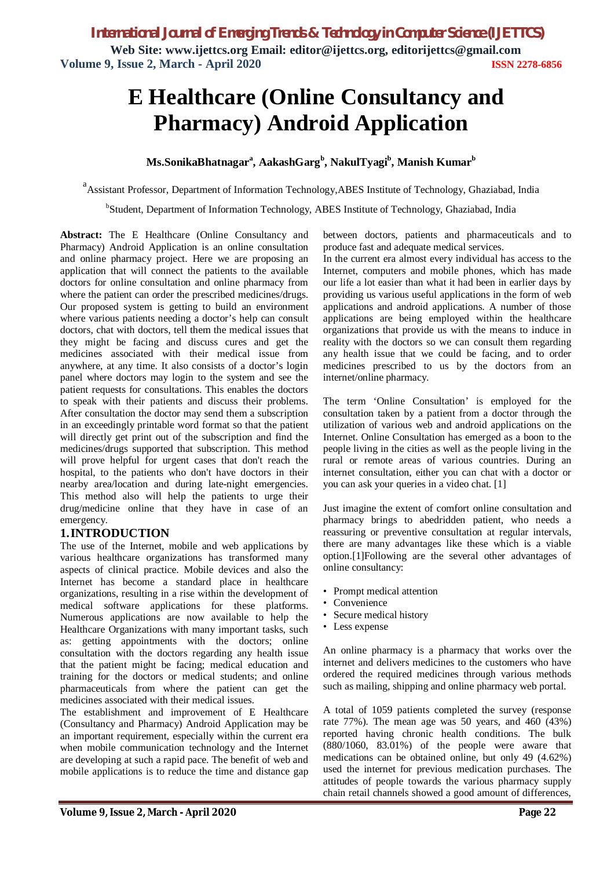# **E Healthcare (Online Consultancy and Pharmacy) Android Application**

# **Ms.SonikaBhatnagar<sup>a</sup> , AakashGarg<sup>b</sup> , NakulTyagi<sup>b</sup> , Manish Kumar<sup>b</sup>**

<sup>a</sup> Assistant Professor, Department of Information Technology, ABES Institute of Technology, Ghaziabad, India

<sup>b</sup>Student, Department of Information Technology, ABES Institute of Technology, Ghaziabad, India

**Abstract:** The E Healthcare (Online Consultancy and Pharmacy) Android Application is an online consultation and online pharmacy project. Here we are proposing an application that will connect the patients to the available doctors for online consultation and online pharmacy from where the patient can order the prescribed medicines/drugs. Our proposed system is getting to build an environment where various patients needing a doctor's help can consult doctors, chat with doctors, tell them the medical issues that they might be facing and discuss cures and get the medicines associated with their medical issue from anywhere, at any time. It also consists of a doctor's login panel where doctors may login to the system and see the patient requests for consultations. This enables the doctors to speak with their patients and discuss their problems. After consultation the doctor may send them a subscription in an exceedingly printable word format so that the patient will directly get print out of the subscription and find the medicines/drugs supported that subscription. This method will prove helpful for urgent cases that don't reach the hospital, to the patients who don't have doctors in their nearby area/location and during late-night emergencies. This method also will help the patients to urge their drug/medicine online that they have in case of an emergency.

# **1.INTRODUCTION**

The use of the Internet, mobile and web applications by various healthcare organizations has transformed many aspects of clinical practice. Mobile devices and also the Internet has become a standard place in healthcare organizations, resulting in a rise within the development of medical software applications for these platforms. Numerous applications are now available to help the Healthcare Organizations with many important tasks, such as: getting appointments with the doctors; online consultation with the doctors regarding any health issue that the patient might be facing; medical education and training for the doctors or medical students; and online pharmaceuticals from where the patient can get the medicines associated with their medical issues.

The establishment and improvement of E Healthcare (Consultancy and Pharmacy) Android Application may be an important requirement, especially within the current era when mobile communication technology and the Internet are developing at such a rapid pace. The benefit of web and mobile applications is to reduce the time and distance gap between doctors, patients and pharmaceuticals and to produce fast and adequate medical services.

In the current era almost every individual has access to the Internet, computers and mobile phones, which has made our life a lot easier than what it had been in earlier days by providing us various useful applications in the form of web applications and android applications. A number of those applications are being employed within the healthcare organizations that provide us with the means to induce in reality with the doctors so we can consult them regarding any health issue that we could be facing, and to order medicines prescribed to us by the doctors from an internet/online pharmacy.

The term 'Online Consultation' is employed for the consultation taken by a patient from a doctor through the utilization of various web and android applications on the Internet. Online Consultation has emerged as a boon to the people living in the cities as well as the people living in the rural or remote areas of various countries. During an internet consultation, either you can chat with a doctor or you can ask your queries in a video chat. [1]

Just imagine the extent of comfort online consultation and pharmacy brings to abedridden patient, who needs a reassuring or preventive consultation at regular intervals, there are many advantages like these which is a viable option.[1]Following are the several other advantages of online consultancy:

- Prompt medical attention
- Convenience
- Secure medical history
- Less expense

An online pharmacy is a pharmacy that works over the internet and delivers medicines to the customers who have ordered the required medicines through various methods such as mailing, shipping and online pharmacy web portal.

A total of 1059 patients completed the survey (response rate 77%). The mean age was 50 years, and 460 (43%) reported having chronic health conditions. The bulk (880/1060, 83.01%) of the people were aware that medications can be obtained online, but only 49 (4.62%) used the internet for previous medication purchases. The attitudes of people towards the various pharmacy supply chain retail channels showed a good amount of differences,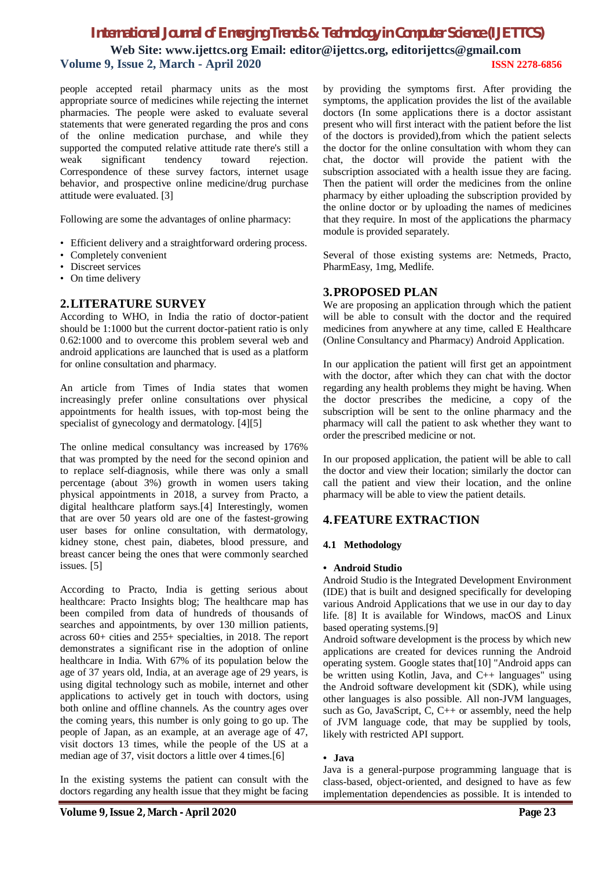# *International Journal of Emerging Trends & Technology in Computer Science (IJETTCS)* **Web Site: [www.ijettcs.org](http://www.ijettcs.org) Email: editor@ijettcs.org, [editorijettcs@gmail.com](mailto:editorijettcs@gmail.com)  Volume 9, Issue 2, March - April 2020 ISSN 2278-6856**

people accepted retail pharmacy units as the most appropriate source of medicines while rejecting the internet pharmacies. The people were asked to evaluate several statements that were generated regarding the pros and cons of the online medication purchase, and while they supported the computed relative attitude rate there's still a weak significant tendency toward rejection. Correspondence of these survey factors, internet usage behavior, and prospective online medicine/drug purchase attitude were evaluated. [3]

Following are some the advantages of online pharmacy:

- Efficient delivery and a straightforward ordering process.
- Completely convenient
- Discreet services
- On time delivery

# **2.LITERATURE SURVEY**

According to WHO, in India the ratio of doctor-patient should be 1:1000 but the current doctor-patient ratio is only 0.62:1000 and to overcome this problem several web and android applications are launched that is used as a platform for online consultation and pharmacy.

An article from Times of India states that women increasingly prefer online consultations over physical appointments for health issues, with top-most being the specialist of gynecology and dermatology. [4][5]

The online medical consultancy was increased by 176% that was prompted by the need for the second opinion and to replace self-diagnosis, while there was only a small percentage (about 3%) growth in women users taking physical appointments in 2018, a survey from Practo, a digital healthcare platform says.[4] Interestingly, women that are over 50 years old are one of the fastest-growing user bases for online consultation, with dermatology, kidney stone, chest pain, diabetes, blood pressure, and breast cancer being the ones that were commonly searched issues. [5]

According to Practo, India is getting serious about healthcare: Practo Insights blog; The healthcare map has been compiled from data of hundreds of thousands of searches and appointments, by over 130 million patients, across 60+ cities and 255+ specialties, in 2018. The report demonstrates a significant rise in the adoption of online healthcare in India. With 67% of its population below the age of 37 years old, India, at an average age of 29 years, is using digital technology such as mobile, internet and other applications to actively get in touch with doctors, using both online and offline channels. As the country ages over the coming years, this number is only going to go up. The people of Japan, as an example, at an average age of 47, visit doctors 13 times, while the people of the US at a median age of 37, visit doctors a little over 4 times.[6]

In the existing systems the patient can consult with the doctors regarding any health issue that they might be facing by providing the symptoms first. After providing the symptoms, the application provides the list of the available doctors (In some applications there is a doctor assistant present who will first interact with the patient before the list of the doctors is provided),from which the patient selects the doctor for the online consultation with whom they can chat, the doctor will provide the patient with the subscription associated with a health issue they are facing. Then the patient will order the medicines from the online pharmacy by either uploading the subscription provided by the online doctor or by uploading the names of medicines that they require. In most of the applications the pharmacy module is provided separately.

Several of those existing systems are: Netmeds, Practo, PharmEasy, 1mg, Medlife.

# **3.PROPOSED PLAN**

We are proposing an application through which the patient will be able to consult with the doctor and the required medicines from anywhere at any time, called E Healthcare (Online Consultancy and Pharmacy) Android Application.

In our application the patient will first get an appointment with the doctor, after which they can chat with the doctor regarding any health problems they might be having. When the doctor prescribes the medicine, a copy of the subscription will be sent to the online pharmacy and the pharmacy will call the patient to ask whether they want to order the prescribed medicine or not.

In our proposed application, the patient will be able to call the doctor and view their location; similarly the doctor can call the patient and view their location, and the online pharmacy will be able to view the patient details.

# **4.FEATURE EXTRACTION**

### **4.1 Methodology**

#### **• Android Studio**

Android Studio is the Integrated Development Environment (IDE) that is built and designed specifically for developing various Android Applications that we use in our day to day life. [8] It is available for Windows, macOS and Linux based operating systems.[9]

Android software development is the process by which new applications are created for devices running the Android operating system. Google states that[10] "Android apps can be written using Kotlin, Java, and C++ languages" using the Android software development kit (SDK), while using other languages is also possible. All non-JVM languages, such as Go, JavaScript, C, C++ or assembly, need the help of JVM language code, that may be supplied by tools, likely with restricted API support.

### **• Java**

Java is a general-purpose programming language that is class-based, object-oriented, and designed to have as few implementation dependencies as possible. It is intended to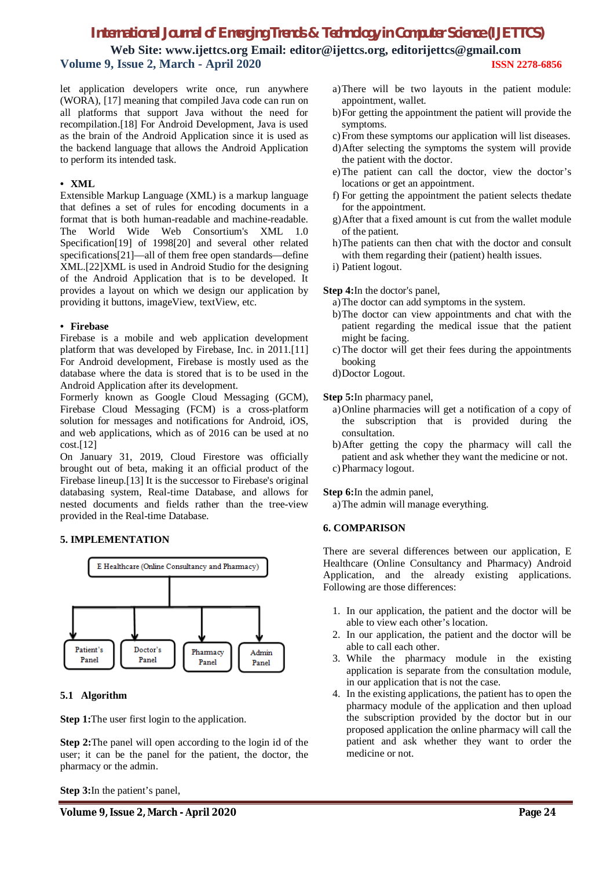# *International Journal of Emerging Trends & Technology in Computer Science (IJETTCS)*

**Web Site: [www.ijettcs.org](http://www.ijettcs.org) Email: editor@ijettcs.org, [editorijettcs@gmail.com](mailto:editorijettcs@gmail.com)  Volume 9, Issue 2, March - April 2020 ISSN 2278-6856**

let application developers write once, run anywhere (WORA), [17] meaning that compiled Java code can run on all platforms that support Java without the need for recompilation.[18] For Android Development, Java is used as the brain of the Android Application since it is used as the backend language that allows the Android Application to perform its intended task.

#### **• XML**

Extensible Markup Language (XML) is a markup language that defines a set of rules for encoding documents in a format that is both human-readable and machine-readable. The World Wide Web Consortium's XML 1.0 Specification[19] of 1998[20] and several other related specifications[21]—all of them free open standards—define XML.[22]XML is used in Android Studio for the designing of the Android Application that is to be developed. It provides a layout on which we design our application by providing it buttons, imageView, textView, etc.

#### **• Firebase**

Firebase is a mobile and web application development platform that was developed by Firebase, Inc. in 2011.[11] For Android development, Firebase is mostly used as the database where the data is stored that is to be used in the Android Application after its development.

Formerly known as Google Cloud Messaging (GCM), Firebase Cloud Messaging (FCM) is a cross-platform solution for messages and notifications for Android, iOS, and web applications, which as of 2016 can be used at no cost.[12]

On January 31, 2019, Cloud Firestore was officially brought out of beta, making it an official product of the Firebase lineup.[13] It is the successor to Firebase's original databasing system, Real-time Database, and allows for nested documents and fields rather than the tree-view provided in the Real-time Database.

### **5. IMPLEMENTATION**



### **5.1 Algorithm**

**Step 1:**The user first login to the application.

**Step 2:**The panel will open according to the login id of the user; it can be the panel for the patient, the doctor, the pharmacy or the admin.

**Step 3:**In the patient's panel,

- a)There will be two layouts in the patient module: appointment, wallet.
- b)For getting the appointment the patient will provide the symptoms.
- c)From these symptoms our application will list diseases.
- d)After selecting the symptoms the system will provide the patient with the doctor.
- e)The patient can call the doctor, view the doctor's locations or get an appointment.
- f) For getting the appointment the patient selects thedate for the appointment.
- g)After that a fixed amount is cut from the wallet module of the patient.
- h)The patients can then chat with the doctor and consult with them regarding their (patient) health issues.
- i) Patient logout.

**Step 4:**In the doctor's panel,

- a)The doctor can add symptoms in the system.
- b)The doctor can view appointments and chat with the patient regarding the medical issue that the patient might be facing.
- c)The doctor will get their fees during the appointments booking
- d)Doctor Logout.

**Step 5:**In pharmacy panel,

- a)Online pharmacies will get a notification of a copy of the subscription that is provided during the consultation.
- b)After getting the copy the pharmacy will call the patient and ask whether they want the medicine or not. c) Pharmacy logout.
- 
- **Step 6:**In the admin panel, a)The admin will manage everything.

### **6. COMPARISON**

There are several differences between our application, E Healthcare (Online Consultancy and Pharmacy) Android Application, and the already existing applications. Following are those differences:

- 1. In our application, the patient and the doctor will be able to view each other's location.
- 2. In our application, the patient and the doctor will be able to call each other.
- 3. While the pharmacy module in the existing application is separate from the consultation module, in our application that is not the case.
- 4. In the existing applications, the patient has to open the pharmacy module of the application and then upload the subscription provided by the doctor but in our proposed application the online pharmacy will call the patient and ask whether they want to order the medicine or not.